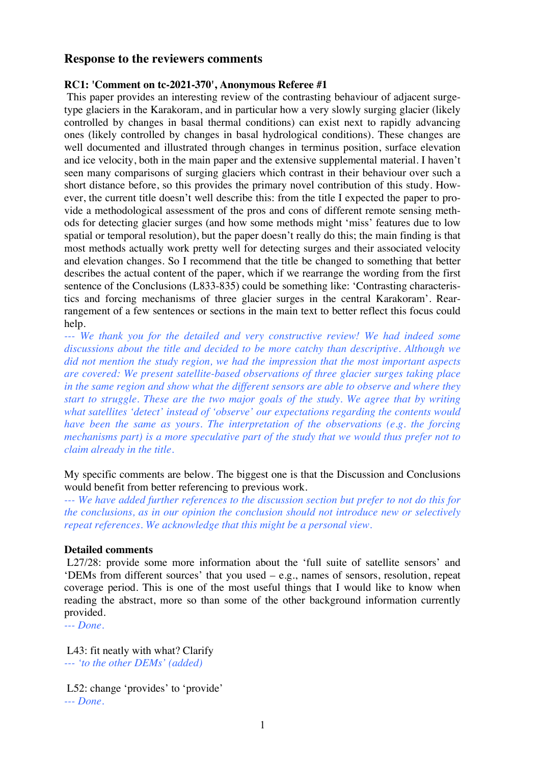# **Response to the reviewers comments**

#### **RC1: 'Comment on tc-2021-370', Anonymous Referee #1**

This paper provides an interesting review of the contrasting behaviour of adjacent surgetype glaciers in the Karakoram, and in particular how a very slowly surging glacier (likely controlled by changes in basal thermal conditions) can exist next to rapidly advancing ones (likely controlled by changes in basal hydrological conditions). These changes are well documented and illustrated through changes in terminus position, surface elevation and ice velocity, both in the main paper and the extensive supplemental material. I haven't seen many comparisons of surging glaciers which contrast in their behaviour over such a short distance before, so this provides the primary novel contribution of this study. However, the current title doesn't well describe this: from the title I expected the paper to provide a methodological assessment of the pros and cons of different remote sensing methods for detecting glacier surges (and how some methods might 'miss' features due to low spatial or temporal resolution), but the paper doesn't really do this; the main finding is that most methods actually work pretty well for detecting surges and their associated velocity and elevation changes. So I recommend that the title be changed to something that better describes the actual content of the paper, which if we rearrange the wording from the first sentence of the Conclusions (L833-835) could be something like: 'Contrasting characteristics and forcing mechanisms of three glacier surges in the central Karakoram'. Rearrangement of a few sentences or sections in the main text to better reflect this focus could help.

*--- We thank you for the detailed and very constructive review! We had indeed some discussions about the title and decided to be more catchy than descriptive. Although we did not mention the study region, we had the impression that the most important aspects are covered: We present satellite-based observations of three glacier surges taking place in the same region and show what the different sensors are able to observe and where they start to struggle. These are the two major goals of the study. We agree that by writing what satellites 'detect' instead of 'observe' our expectations regarding the contents would have been the same as yours. The interpretation of the observations (e.g. the forcing mechanisms part) is a more speculative part of the study that we would thus prefer not to claim already in the title.* 

# My specific comments are below. The biggest one is that the Discussion and Conclusions would benefit from better referencing to previous work.

*--- We have added further references to the discussion section but prefer to not do this for the conclusions, as in our opinion the conclusion should not introduce new or selectively repeat references. We acknowledge that this might be a personal view.*

#### **Detailed comments**

L27/28: provide some more information about the 'full suite of satellite sensors' and 'DEMs from different sources' that you used – e.g., names of sensors, resolution, repeat coverage period. This is one of the most useful things that I would like to know when reading the abstract, more so than some of the other background information currently provided.

*--- Done.*

L43: fit neatly with what? Clarify *--- 'to the other DEMs' (added)*

L52: change 'provides' to 'provide' *--- Done.*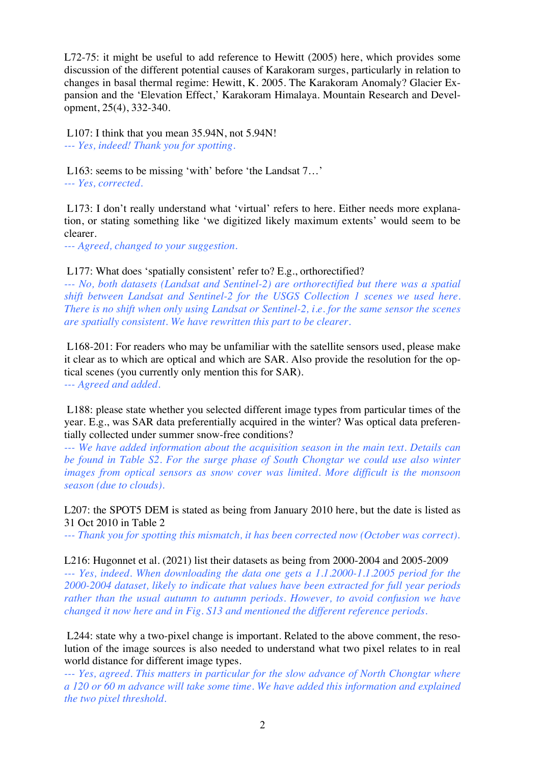L72-75: it might be useful to add reference to Hewitt (2005) here, which provides some discussion of the different potential causes of Karakoram surges, particularly in relation to changes in basal thermal regime: Hewitt, K. 2005. The Karakoram Anomaly? Glacier Expansion and the 'Elevation Effect,' Karakoram Himalaya. Mountain Research and Development, 25(4), 332-340.

L107: I think that you mean 35.94N, not 5.94N! *--- Yes, indeed! Thank you for spotting.*

L163: seems to be missing 'with' before 'the Landsat 7...' *--- Yes, corrected.*

L173: I don't really understand what 'virtual' refers to here. Either needs more explanation, or stating something like 'we digitized likely maximum extents' would seem to be clearer.

*--- Agreed, changed to your suggestion.*

L177: What does 'spatially consistent' refer to? E.g., orthorectified?

*--- No, both datasets (Landsat and Sentinel-2) are orthorectified but there was a spatial shift between Landsat and Sentinel-2 for the USGS Collection 1 scenes we used here. There is no shift when only using Landsat or Sentinel-2, i.e. for the same sensor the scenes are spatially consistent. We have rewritten this part to be clearer.*

L168-201: For readers who may be unfamiliar with the satellite sensors used, please make it clear as to which are optical and which are SAR. Also provide the resolution for the optical scenes (you currently only mention this for SAR). *--- Agreed and added.*

L188: please state whether you selected different image types from particular times of the year. E.g., was SAR data preferentially acquired in the winter? Was optical data preferentially collected under summer snow-free conditions?

*--- We have added information about the acquisition season in the main text. Details can be found in Table S2. For the surge phase of South Chongtar we could use also winter images from optical sensors as snow cover was limited. More difficult is the monsoon season (due to clouds).*

L207: the SPOT5 DEM is stated as being from January 2010 here, but the date is listed as 31 Oct 2010 in Table 2

*--- Thank you for spotting this mismatch, it has been corrected now (October was correct).*

L216: Hugonnet et al. (2021) list their datasets as being from 2000-2004 and 2005-2009

*--- Yes, indeed. When downloading the data one gets a 1.1.2000-1.1.2005 period for the 2000-2004 dataset, likely to indicate that values have been extracted for full year periods rather than the usual autumn to autumn periods. However, to avoid confusion we have changed it now here and in Fig. S13 and mentioned the different reference periods.*

L244: state why a two-pixel change is important. Related to the above comment, the resolution of the image sources is also needed to understand what two pixel relates to in real world distance for different image types.

*--- Yes, agreed. This matters in particular for the slow advance of North Chongtar where a 120 or 60 m advance will take some time. We have added this information and explained the two pixel threshold.*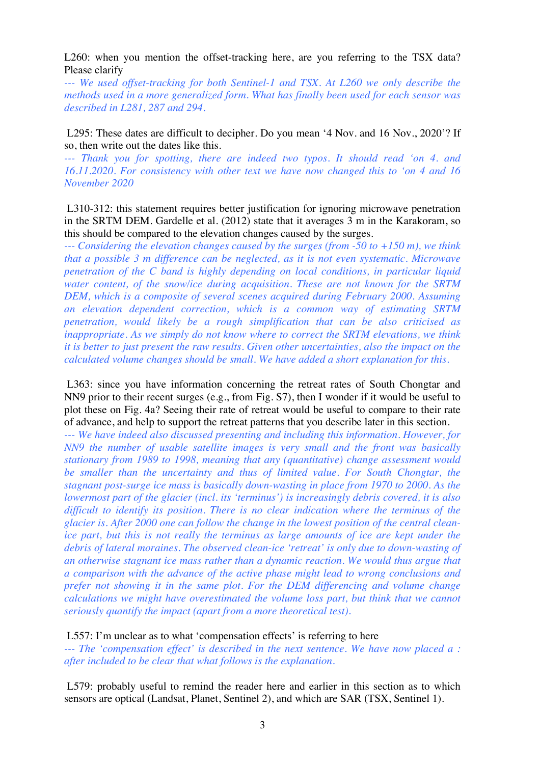L260: when you mention the offset-tracking here, are you referring to the TSX data? Please clarify

*--- We used offset-tracking for both Sentinel-1 and TSX. At L260 we only describe the methods used in a more generalized form. What has finally been used for each sensor was described in L281, 287 and 294.*

L295: These dates are difficult to decipher. Do you mean '4 Nov. and 16 Nov., 2020'? If so, then write out the dates like this.

--- *Thank you for spotting, there are indeed two typos. It should read 'on 4. and 16.11.2020. For consistency with other text we have now changed this to 'on 4 and 16 November 2020*

L310-312: this statement requires better justification for ignoring microwave penetration in the SRTM DEM. Gardelle et al. (2012) state that it averages 3 m in the Karakoram, so this should be compared to the elevation changes caused by the surges.

*--- Considering the elevation changes caused by the surges (from -50 to +150 m), we think that a possible 3 m difference can be neglected, as it is not even systematic. Microwave penetration of the C band is highly depending on local conditions, in particular liquid water content, of the snow/ice during acquisition. These are not known for the SRTM DEM, which is a composite of several scenes acquired during February 2000. Assuming an elevation dependent correction, which is a common way of estimating SRTM penetration, would likely be a rough simplification that can be also criticised as inappropriate. As we simply do not know where to correct the SRTM elevations, we think it is better to just present the raw results. Given other uncertainties, also the impact on the calculated volume changes should be small. We have added a short explanation for this.*

L363: since you have information concerning the retreat rates of South Chongtar and NN9 prior to their recent surges (e.g., from Fig. S7), then I wonder if it would be useful to plot these on Fig. 4a? Seeing their rate of retreat would be useful to compare to their rate of advance, and help to support the retreat patterns that you describe later in this section.

*--- We have indeed also discussed presenting and including this information. However, for NN9 the number of usable satellite images is very small and the front was basically stationary from 1989 to 1998, meaning that any (quantitative) change assessment would be smaller than the uncertainty and thus of limited value. For South Chongtar, the stagnant post-surge ice mass is basically down-wasting in place from 1970 to 2000. As the lowermost part of the glacier (incl. its 'terminus') is increasingly debris covered, it is also difficult to identify its position. There is no clear indication where the terminus of the glacier is. After 2000 one can follow the change in the lowest position of the central cleanice part, but this is not really the terminus as large amounts of ice are kept under the debris of lateral moraines. The observed clean-ice 'retreat' is only due to down-wasting of an otherwise stagnant ice mass rather than a dynamic reaction. We would thus argue that a comparison with the advance of the active phase might lead to wrong conclusions and prefer not showing it in the same plot. For the DEM differencing and volume change calculations we might have overestimated the volume loss part, but think that we cannot seriously quantify the impact (apart from a more theoretical test).*

L557: I'm unclear as to what 'compensation effects' is referring to here

*--- The 'compensation effect' is described in the next sentence. We have now placed a : after included to be clear that what follows is the explanation.*

L579: probably useful to remind the reader here and earlier in this section as to which sensors are optical (Landsat, Planet, Sentinel 2), and which are SAR (TSX, Sentinel 1).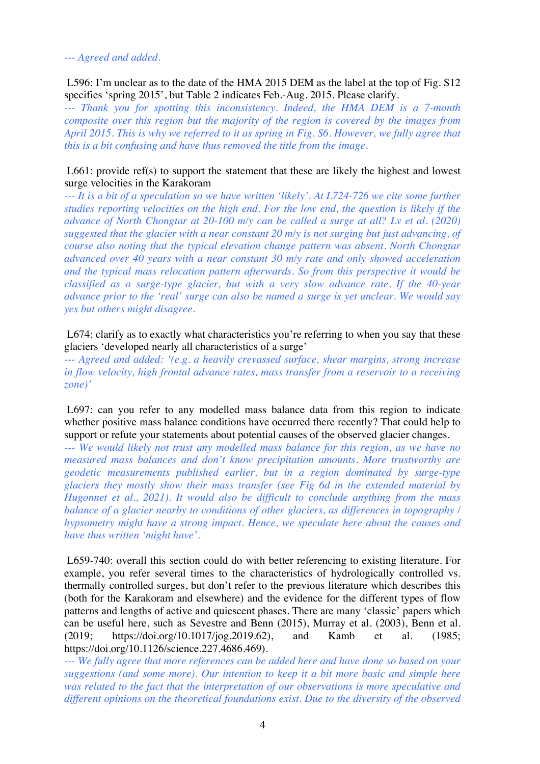#### *--- Agreed and added.*

L596: I'm unclear as to the date of the HMA 2015 DEM as the label at the top of Fig. S12 specifies 'spring 2015', but Table 2 indicates Feb.-Aug. 2015. Please clarify.

*--- Thank you for spotting this inconsistency. Indeed, the HMA DEM is a 7-month composite over this region but the majority of the region is covered by the images from April 2015. This is why we referred to it as spring in Fig. S6. However, we fully agree that this is a bit confusing and have thus removed the title from the image.*

## L661: provide ref(s) to support the statement that these are likely the highest and lowest surge velocities in the Karakoram

*--- It is a bit of a speculation so we have written 'likely'. At L724-726 we cite some further studies reporting velocities on the high end. For the low end, the question is likely if the advance of North Chongtar at 20-100 m/y can be called a surge at all? Lv et al. (2020) suggested that the glacier with a near constant 20 m/y is not surging but just advancing, of course also noting that the typical elevation change pattern was absent. North Chongtar advanced over 40 years with a near constant 30 m/y rate and only showed acceleration and the typical mass relocation pattern afterwards. So from this perspective it would be classified as a surge-type glacier, but with a very slow advance rate. If the 40-year advance prior to the 'real' surge can also be named a surge is yet unclear. We would say yes but others might disagree.* 

L674: clarify as to exactly what characteristics you're referring to when you say that these glaciers 'developed nearly all characteristics of a surge'

*--- Agreed and added: '(e.g. a heavily crevassed surface, shear margins, strong increase in flow velocity, high frontal advance rates, mass transfer from a reservoir to a receiving zone)'*

L697: can you refer to any modelled mass balance data from this region to indicate whether positive mass balance conditions have occurred there recently? That could help to support or refute your statements about potential causes of the observed glacier changes.

*--- We would likely not trust any modelled mass balance for this region, as we have no measured mass balances and don't know precipitation amounts. More trustworthy are geodetic measurements published earlier, but in a region dominated by surge-type glaciers they mostly show their mass transfer (see Fig 6d in the extended material by Hugonnet et al., 2021). It would also be difficult to conclude anything from the mass balance of a glacier nearby to conditions of other glaciers, as differences in topography / hypsometry might have a strong impact. Hence, we speculate here about the causes and have thus written 'might have'.*

L659-740: overall this section could do with better referencing to existing literature. For example, you refer several times to the characteristics of hydrologically controlled vs. thermally controlled surges, but don't refer to the previous literature which describes this (both for the Karakoram and elsewhere) and the evidence for the different types of flow patterns and lengths of active and quiescent phases. There are many 'classic' papers which can be useful here, such as Sevestre and Benn (2015), Murray et al. (2003), Benn et al. (2019; https://doi.org/10.1017/jog.2019.62), and Kamb et al. (1985; https://doi.org/10.1126/science.227.4686.469).

*--- We fully agree that more references can be added here and have done so based on your suggestions (and some more). Our intention to keep it a bit more basic and simple here was related to the fact that the interpretation of our observations is more speculative and different opinions on the theoretical foundations exist. Due to the diversity of the observed*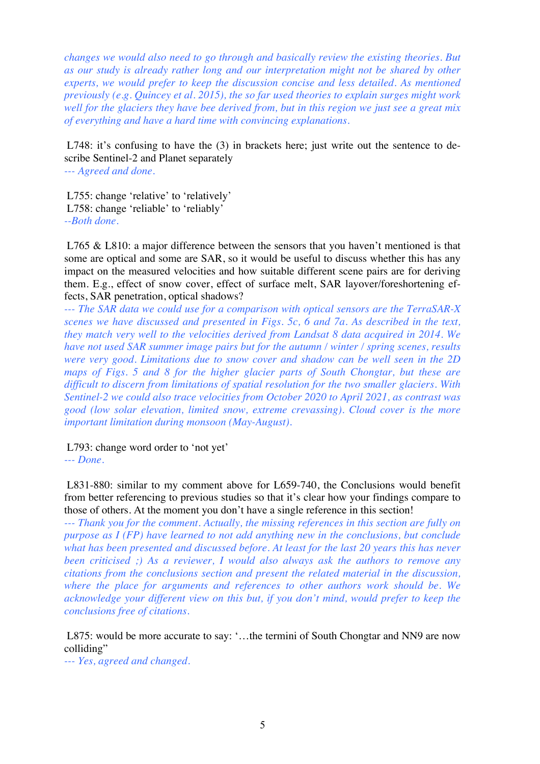*changes we would also need to go through and basically review the existing theories. But as our study is already rather long and our interpretation might not be shared by other experts, we would prefer to keep the discussion concise and less detailed. As mentioned previously (e.g. Quincey et al. 2015), the so far used theories to explain surges might work well for the glaciers they have bee derived from, but in this region we just see a great mix of everything and have a hard time with convincing explanations.*

L748: it's confusing to have the (3) in brackets here; just write out the sentence to describe Sentinel-2 and Planet separately *--- Agreed and done.*

L755: change 'relative' to 'relatively' L758: change 'reliable' to 'reliably' *--Both done.*

L765 & L810: a major difference between the sensors that you haven't mentioned is that some are optical and some are SAR, so it would be useful to discuss whether this has any impact on the measured velocities and how suitable different scene pairs are for deriving them. E.g., effect of snow cover, effect of surface melt, SAR layover/foreshortening effects, SAR penetration, optical shadows?

*--- The SAR data we could use for a comparison with optical sensors are the TerraSAR-X scenes we have discussed and presented in Figs. 5c, 6 and 7a. As described in the text, they match very well to the velocities derived from Landsat 8 data acquired in 2014. We have not used SAR summer image pairs but for the autumn / winter / spring scenes, results were very good. Limitations due to snow cover and shadow can be well seen in the 2D maps of Figs. 5 and 8 for the higher glacier parts of South Chongtar, but these are difficult to discern from limitations of spatial resolution for the two smaller glaciers. With Sentinel-2 we could also trace velocities from October 2020 to April 2021, as contrast was good (low solar elevation, limited snow, extreme crevassing). Cloud cover is the more important limitation during monsoon (May-August).*

L793: change word order to 'not yet' *--- Done.*

L831-880: similar to my comment above for L659-740, the Conclusions would benefit from better referencing to previous studies so that it's clear how your findings compare to those of others. At the moment you don't have a single reference in this section!

*--- Thank you for the comment. Actually, the missing references in this section are fully on purpose as I (FP) have learned to not add anything new in the conclusions, but conclude what has been presented and discussed before. At least for the last 20 years this has never been criticised ;) As a reviewer, I would also always ask the authors to remove any citations from the conclusions section and present the related material in the discussion, where the place for arguments and references to other authors work should be. We acknowledge your different view on this but, if you don't mind, would prefer to keep the conclusions free of citations.*

L875: would be more accurate to say: '...the termini of South Chongtar and NN9 are now colliding"

*--- Yes, agreed and changed.*